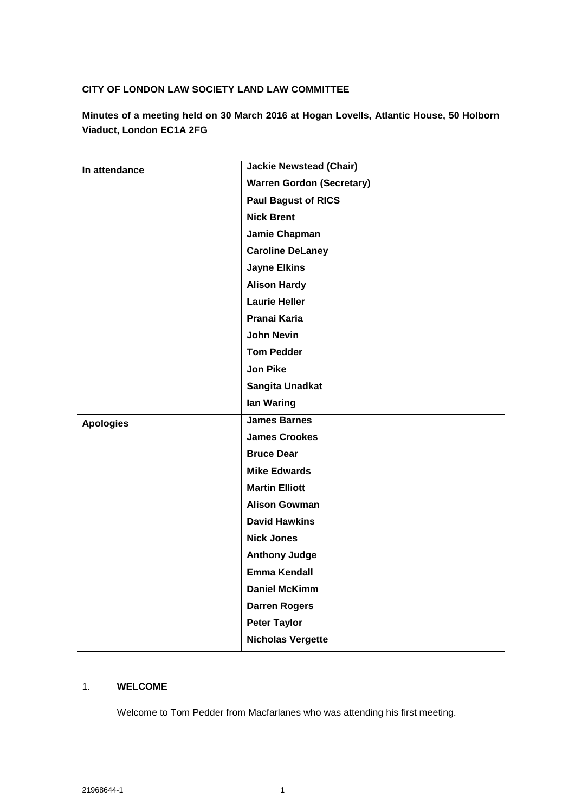### **CITY OF LONDON LAW SOCIETY LAND LAW COMMITTEE**

**Minutes of a meeting held on 30 March 2016 at Hogan Lovells, Atlantic House, 50 Holborn Viaduct, London EC1A 2FG**

| In attendance    | <b>Jackie Newstead (Chair)</b>   |
|------------------|----------------------------------|
|                  | <b>Warren Gordon (Secretary)</b> |
|                  | <b>Paul Bagust of RICS</b>       |
|                  | <b>Nick Brent</b>                |
|                  | Jamie Chapman                    |
|                  | <b>Caroline DeLaney</b>          |
|                  | <b>Jayne Elkins</b>              |
|                  | <b>Alison Hardy</b>              |
|                  | <b>Laurie Heller</b>             |
|                  | Pranai Karia                     |
|                  | <b>John Nevin</b>                |
|                  | <b>Tom Pedder</b>                |
|                  | <b>Jon Pike</b>                  |
|                  | Sangita Unadkat                  |
|                  | lan Waring                       |
| <b>Apologies</b> | <b>James Barnes</b>              |
|                  | <b>James Crookes</b>             |
|                  | <b>Bruce Dear</b>                |
|                  | <b>Mike Edwards</b>              |
|                  | <b>Martin Elliott</b>            |
|                  | <b>Alison Gowman</b>             |
|                  | <b>David Hawkins</b>             |
|                  | <b>Nick Jones</b>                |
|                  | <b>Anthony Judge</b>             |
|                  | <b>Emma Kendall</b>              |
|                  | <b>Daniel McKimm</b>             |
|                  | <b>Darren Rogers</b>             |
|                  | <b>Peter Taylor</b>              |
|                  | <b>Nicholas Vergette</b>         |

### 1. **WELCOME**

Welcome to Tom Pedder from Macfarlanes who was attending his first meeting.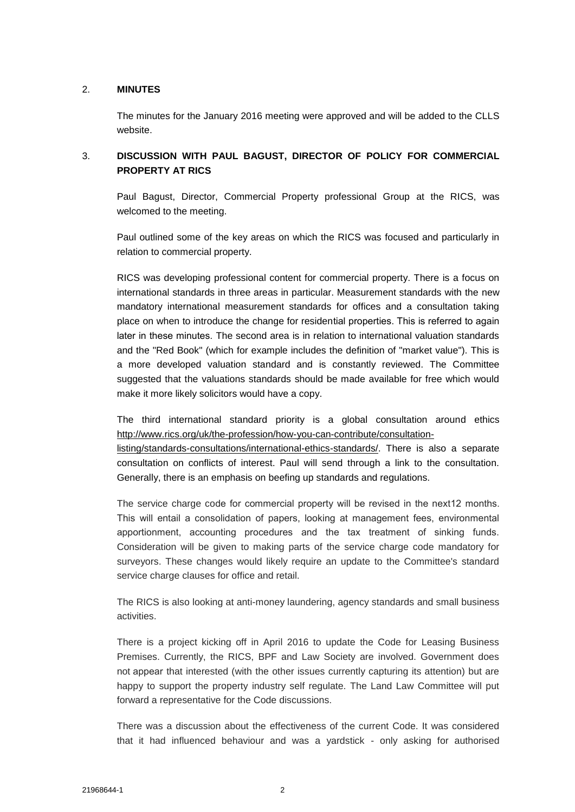### 2. **MINUTES**

The minutes for the January 2016 meeting were approved and will be added to the CLLS website.

### 3. **DISCUSSION WITH PAUL BAGUST, DIRECTOR OF POLICY FOR COMMERCIAL PROPERTY AT RICS**

Paul Bagust, Director, Commercial Property professional Group at the RICS, was welcomed to the meeting.

Paul outlined some of the key areas on which the RICS was focused and particularly in relation to commercial property.

RICS was developing professional content for commercial property. There is a focus on international standards in three areas in particular. Measurement standards with the new mandatory international measurement standards for offices and a consultation taking place on when to introduce the change for residential properties. This is referred to again later in these minutes. The second area is in relation to international valuation standards and the "Red Book" (which for example includes the definition of "market value"). This is a more developed valuation standard and is constantly reviewed. The Committee suggested that the valuations standards should be made available for free which would make it more likely solicitors would have a copy.

The third international standard priority is a global consultation around ethics [http://www.rics.org/uk/the-profession/how-you-can-contribute/consultation-](http://www.rics.org/uk/the-profession/how-you-can-contribute/consultation-listing/standards-consultations/international-ethics-standards/)

[listing/standards-consultations/international-ethics-standards/.](http://www.rics.org/uk/the-profession/how-you-can-contribute/consultation-listing/standards-consultations/international-ethics-standards/) There is also a separate consultation on conflicts of interest. Paul will send through a link to the consultation. Generally, there is an emphasis on beefing up standards and regulations.

The service charge code for commercial property will be revised in the next12 months. This will entail a consolidation of papers, looking at management fees, environmental apportionment, accounting procedures and the tax treatment of sinking funds. Consideration will be given to making parts of the service charge code mandatory for surveyors. These changes would likely require an update to the Committee's standard service charge clauses for office and retail.

The RICS is also looking at anti-money laundering, agency standards and small business activities.

There is a project kicking off in April 2016 to update the Code for Leasing Business Premises. Currently, the RICS, BPF and Law Society are involved. Government does not appear that interested (with the other issues currently capturing its attention) but are happy to support the property industry self regulate. The Land Law Committee will put forward a representative for the Code discussions.

There was a discussion about the effectiveness of the current Code. It was considered that it had influenced behaviour and was a yardstick - only asking for authorised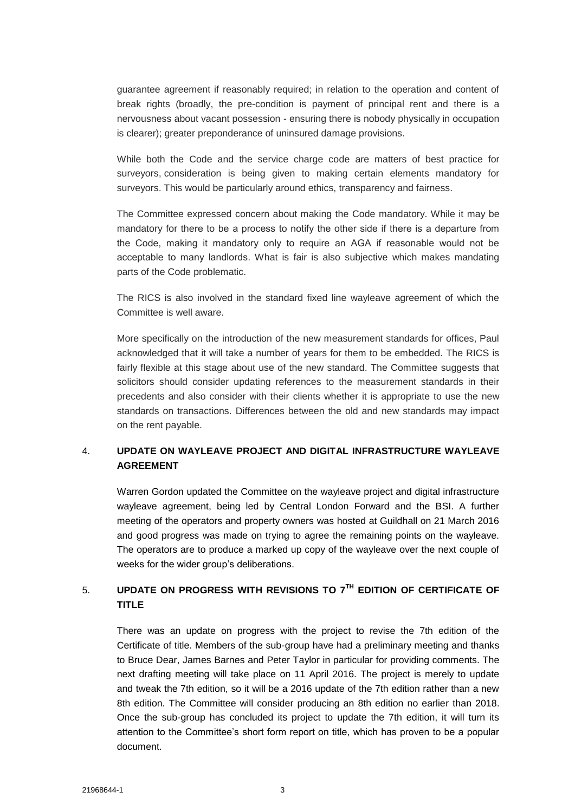guarantee agreement if reasonably required; in relation to the operation and content of break rights (broadly, the pre-condition is payment of principal rent and there is a nervousness about vacant possession - ensuring there is nobody physically in occupation is clearer); greater preponderance of uninsured damage provisions.

While both the Code and the service charge code are matters of best practice for surveyors, consideration is being given to making certain elements mandatory for surveyors. This would be particularly around ethics, transparency and fairness.

The Committee expressed concern about making the Code mandatory. While it may be mandatory for there to be a process to notify the other side if there is a departure from the Code, making it mandatory only to require an AGA if reasonable would not be acceptable to many landlords. What is fair is also subjective which makes mandating parts of the Code problematic.

The RICS is also involved in the standard fixed line wayleave agreement of which the Committee is well aware.

More specifically on the introduction of the new measurement standards for offices, Paul acknowledged that it will take a number of years for them to be embedded. The RICS is fairly flexible at this stage about use of the new standard. The Committee suggests that solicitors should consider updating references to the measurement standards in their precedents and also consider with their clients whether it is appropriate to use the new standards on transactions. Differences between the old and new standards may impact on the rent payable.

### 4. **UPDATE ON WAYLEAVE PROJECT AND DIGITAL INFRASTRUCTURE WAYLEAVE AGREEMENT**

Warren Gordon updated the Committee on the wayleave project and digital infrastructure wayleave agreement, being led by Central London Forward and the BSI. A further meeting of the operators and property owners was hosted at Guildhall on 21 March 2016 and good progress was made on trying to agree the remaining points on the wayleave. The operators are to produce a marked up copy of the wayleave over the next couple of weeks for the wider group's deliberations.

# 5. **UPDATE ON PROGRESS WITH REVISIONS TO 7TH EDITION OF CERTIFICATE OF TITLE**

There was an update on progress with the project to revise the 7th edition of the Certificate of title. Members of the sub-group have had a preliminary meeting and thanks to Bruce Dear, James Barnes and Peter Taylor in particular for providing comments. The next drafting meeting will take place on 11 April 2016. The project is merely to update and tweak the 7th edition, so it will be a 2016 update of the 7th edition rather than a new 8th edition. The Committee will consider producing an 8th edition no earlier than 2018. Once the sub-group has concluded its project to update the 7th edition, it will turn its attention to the Committee's short form report on title, which has proven to be a popular document.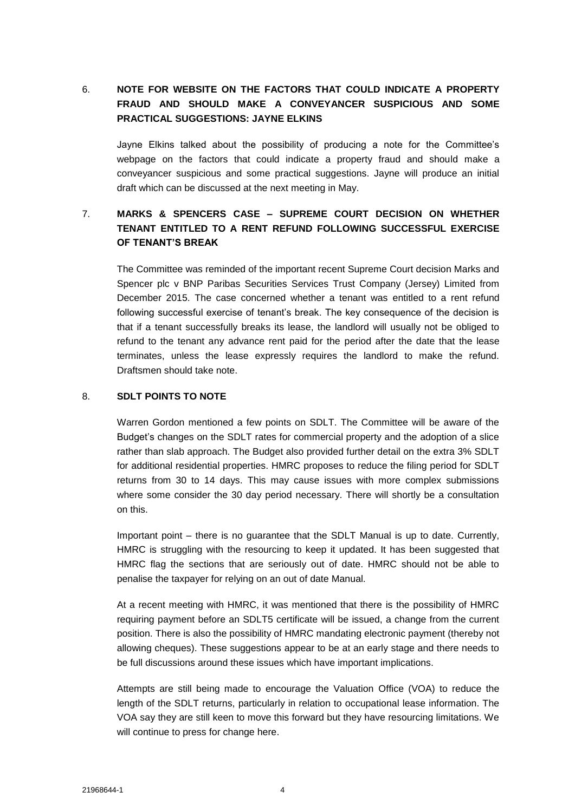## 6. **NOTE FOR WEBSITE ON THE FACTORS THAT COULD INDICATE A PROPERTY FRAUD AND SHOULD MAKE A CONVEYANCER SUSPICIOUS AND SOME PRACTICAL SUGGESTIONS: JAYNE ELKINS**

Jayne Elkins talked about the possibility of producing a note for the Committee's webpage on the factors that could indicate a property fraud and should make a conveyancer suspicious and some practical suggestions. Jayne will produce an initial draft which can be discussed at the next meeting in May.

## 7. **MARKS & SPENCERS CASE – SUPREME COURT DECISION ON WHETHER TENANT ENTITLED TO A RENT REFUND FOLLOWING SUCCESSFUL EXERCISE OF TENANT'S BREAK**

The Committee was reminded of the important recent Supreme Court decision Marks and Spencer plc v BNP Paribas Securities Services Trust Company (Jersey) Limited from December 2015. The case concerned whether a tenant was entitled to a rent refund following successful exercise of tenant's break. The key consequence of the decision is that if a tenant successfully breaks its lease, the landlord will usually not be obliged to refund to the tenant any advance rent paid for the period after the date that the lease terminates, unless the lease expressly requires the landlord to make the refund. Draftsmen should take note.

### 8. **SDLT POINTS TO NOTE**

Warren Gordon mentioned a few points on SDLT. The Committee will be aware of the Budget's changes on the SDLT rates for commercial property and the adoption of a slice rather than slab approach. The Budget also provided further detail on the extra 3% SDLT for additional residential properties. HMRC proposes to reduce the filing period for SDLT returns from 30 to 14 days. This may cause issues with more complex submissions where some consider the 30 day period necessary. There will shortly be a consultation on this.

Important point – there is no guarantee that the SDLT Manual is up to date. Currently, HMRC is struggling with the resourcing to keep it updated. It has been suggested that HMRC flag the sections that are seriously out of date. HMRC should not be able to penalise the taxpayer for relying on an out of date Manual.

At a recent meeting with HMRC, it was mentioned that there is the possibility of HMRC requiring payment before an SDLT5 certificate will be issued, a change from the current position. There is also the possibility of HMRC mandating electronic payment (thereby not allowing cheques). These suggestions appear to be at an early stage and there needs to be full discussions around these issues which have important implications.

Attempts are still being made to encourage the Valuation Office (VOA) to reduce the length of the SDLT returns, particularly in relation to occupational lease information. The VOA say they are still keen to move this forward but they have resourcing limitations. We will continue to press for change here.